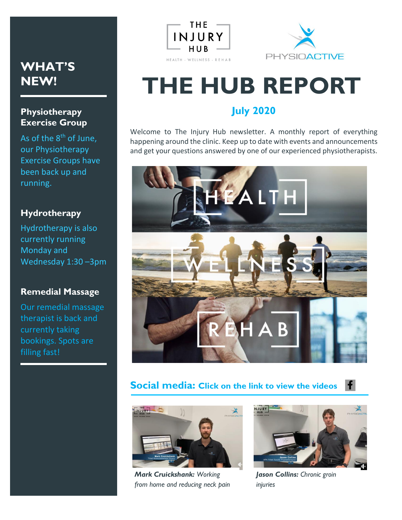## **WHAT'S NEW!**

#### **Physiotherapy Exercise Group**

As of the 8<sup>th</sup> of June, our Physiotherapy Exercise Groups have been back up and running.

#### **Hydrotherapy**

Hydrotherapy is also currently running Monday and Wednesday 1:30 –3pm

#### **Remedial Massage**

Our remedial massage therapist is back and currently taking bookings. Spots are filling fast!





# **THE HUB REPORT**

## **July 2020**

Welcome to The Injury Hub newsletter. A monthly report of everything happening around the clinic. Keep up to date with events and announcements and get your questions answered by one of our experienced physiotherapists.



## **Social media: Click on the link to view the videos**



*Mark Cruickshank: Working from home and reducing neck pain*



 $\mathbf{f}$ 

*Jason Collins: Chronic groin injuries*